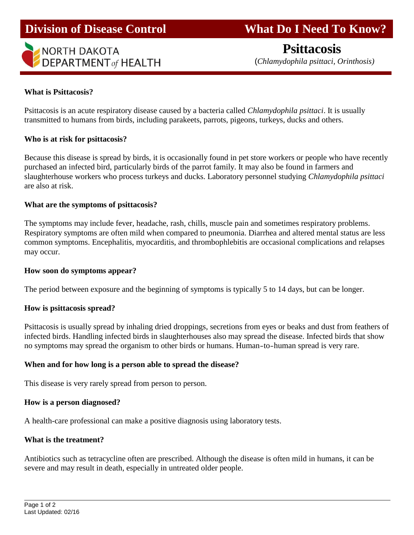

# **Division of Disease Control What Do I Need To Know?**

 **Psittacosis** (*Chlamydophila psittaci, Orinthosis)*

# **What is Psittacosis?**

Psittacosis is an acute respiratory disease caused by a bacteria called *Chlamydophila psittaci*. It is usually transmitted to humans from birds, including parakeets, parrots, pigeons, turkeys, ducks and others.

# **Who is at risk for psittacosis?**

Because this disease is spread by birds, it is occasionally found in pet store workers or people who have recently purchased an infected bird, particularly birds of the parrot family. It may also be found in farmers and slaughterhouse workers who process turkeys and ducks. Laboratory personnel studying *Chlamydophila psittaci* are also at risk.

## **What are the symptoms of psittacosis?**

The symptoms may include fever, headache, rash, chills, muscle pain and sometimes respiratory problems. Respiratory symptoms are often mild when compared to pneumonia. Diarrhea and altered mental status are less common symptoms. Encephalitis, myocarditis, and thrombophlebitis are occasional complications and relapses may occur.

#### **How soon do symptoms appear?**

The period between exposure and the beginning of symptoms is typically 5 to 14 days, but can be longer.

# **How is psittacosis spread?**

Psittacosis is usually spread by inhaling dried droppings, secretions from eyes or beaks and dust from feathers of infected birds. Handling infected birds in slaughterhouses also may spread the disease. Infected birds that show no symptoms may spread the organism to other birds or humans. Human-to-human spread is very rare.

# **When and for how long is a person able to spread the disease?**

This disease is very rarely spread from person to person.

#### **How is a person diagnosed?**

A health-care professional can make a positive diagnosis using laboratory tests.

# **What is the treatment?**

Antibiotics such as tetracycline often are prescribed. Although the disease is often mild in humans, it can be severe and may result in death, especially in untreated older people.